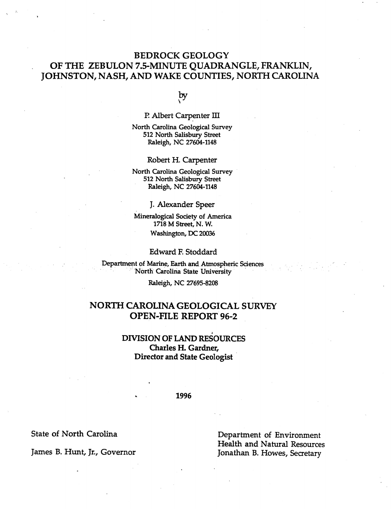## BEDROCK GEOLOGY OF THE ZEBULON 7.5-MINUTE QUADRANGLE, FRANKLIN, JOHNSTON, NASH, AND WAKE COUNTIES, NORTH CAROLINA

 $\overline{\mathbf{y}}$ 

P. Albert Carpenter III

North Carolina Geological Survey 512 North Salisbury Street Raleigh, NC 27604-1148

Robert H. Carpenter

North Carolina Geological Survey" 512 North Salisbury Street Raleigh, NC 27604-1148

J. Alexander Speer

Mineralogical Society of America 1718 M Street, N. W. Washington, DC 20036

Edward F. Stoddard

Department of Marine, Earth and Atmospheric Sciences North Carolina State University

Raleigh, NC 27695-8208

### NORTH CAROLINA GEOLOGICAL SURVEY OPEN-FILE REPORT 96-2

### DIVISION OF LAND RESOURCES Charles H. Gardner, Director and State Geologist

1996

State of North Carolina

James B. Hunt, Jr., Governor

Department of Environment Health and Natural Resources Jonathan B. Howes, Secretary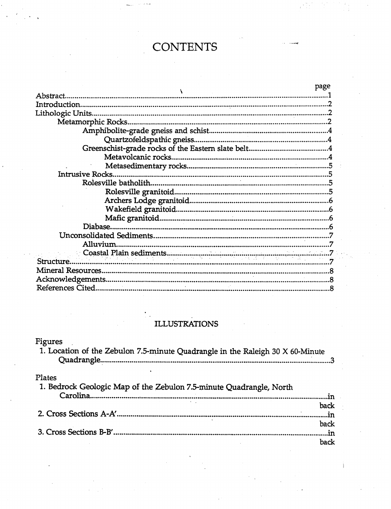# **CONTENTS**

|                         | page |
|-------------------------|------|
| Abstract.               |      |
|                         |      |
| Lithologic Units        |      |
|                         |      |
|                         |      |
|                         |      |
|                         |      |
|                         |      |
|                         |      |
| <b>Intrusive Rocks.</b> |      |
|                         |      |
|                         |      |
|                         |      |
|                         |      |
|                         |      |
|                         |      |
|                         |      |
| Alluvium.               |      |
|                         |      |
| Structure               |      |
|                         |      |
|                         |      |
|                         |      |

## ILLUSTRATIONS

## Figures

| 1. Location of the Zebulon 7.5-minute Quadrangle in the Raleigh 30 X 60-Minute |  |
|--------------------------------------------------------------------------------|--|
|                                                                                |  |
|                                                                                |  |

## Plates

| 1. Bedrock Geologic Map of the Zebulon 7.5-minute Quadrangle, North |           |
|---------------------------------------------------------------------|-----------|
|                                                                     | m<br>back |
|                                                                     |           |
|                                                                     | back      |
|                                                                     |           |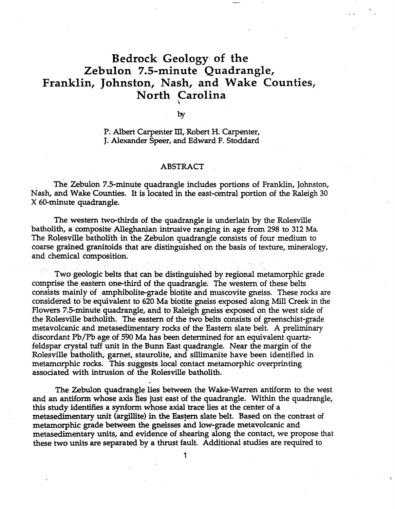## Bedrock Geology of the Zebulon 7.5-minute Quadrangle, Franklin, Johnston, Nash, and Wake Counties, North Carolina \

by

P. Albert Carpenter III, Robert H. Carpenter, J. Alexander Speer, and Edward F. Stoddard

#### ABSTRACT

The Zebulon 7.5-minute quadrangle includes portions of Franklin, Johnston, Nash, and Wake Counties. It is located in the east-central' portion of the Raleigh 30 X 60-minute quadrangle.

The western two-thirds of the quadrangle is underlain by the Rolesville batholith, a composite Alleghanian intrusive ranging in age from 298 to 312 Ma. The Rolesville batholith in the Zebulon quadrangle consists of four medium to coarse grained granitoids that are distinguished on the basis of texture, mineralogy, and chemical composition.

Two geologic belts that can be distinguished by regional metamorphic grade comprise the eastern one-third of the quadrangle. The western of these belts consists mainly of amphibolite-grade biotite and muscovite gneiss. These rocks are considered to be equivalent to 620 Ma biotite gneiss exposed along Mill Creek in the Flowers 7.5-minute quadrangle, and to Raleigh gneiss exposed on the west side of the Rolesville batholith. The eastern of the two belts consists of greenschist-grade metavolcanic and metasedimentary rocks of the Eastern slate belt. A preliminary discordant Pb/Pb age of 590 Ma has been determined for an equivalent quartzfeldspar crystal tuff unit in the Bunn East quadrangle. Near the margin of the Rolesville batholith, garnet, staurolite, and sillimanite have been identified in . metamorphic rocks. This suggests local contact metamorphic overprinting associated with intrusion of the Rolesville batholith.

The Zebulon quadrangle lies between the Wake-Warren antiform to the west and an antiform whose axis lies just east of the quadrangle. Within the quadrangle, this study identifies a synform whose axial trace lies at the center of a metasedimentary unit (argillite) in the Eastern slate belt. Based on the contrast of metamorphic grade between the gneisses and low-grade metavolcanic and metasedimentary units, and evidence of shearing along the contact, we propose that these two units are separated by a thrust fault. Additional studies are required to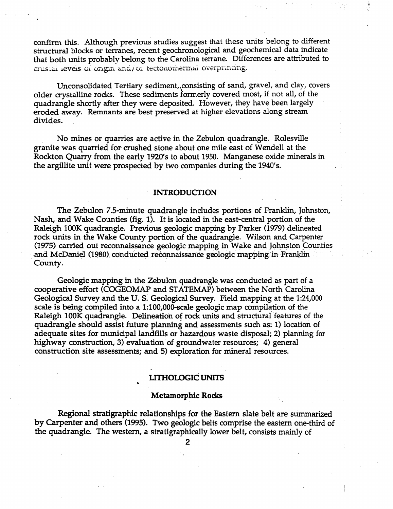confirm this. Although previous studies suggest that these units belong to different structural blocks or terranes, recent geochronological and geochemical data indicate that both units probably belong to the Carolina terrane. Differences are attributed to crustai ieveis of origin and/or tectonothermal overprinting.

Unconsolidated Tertiary sediment, consisting of sand, gravel, and clay, covers older crystalline rocks. These sediments formerly covered most, if not all, of the quadrangle shortly after they were deposited. However, they have been largely eroded away. Remnants are best preserved at higher elevations along stream divides.

No mines or quarries are active in the Zebulon quadrangle. Rolesville granite was quarried for crushed stone about one mile east of Wendell at the Rockton Quarry from the early 1920's to about 1950. Manganese oxide minerals in the argillite unit were prospected by two companies during the 1940's.

#### INTRODUCTION

The Zebulon 7.5-minute quadrangle includes portions of Franklin, Johnston, Nash, and Wake Counties (fig. 1). It is located in the east-central portion of the Raleigh lOOK quadrangle. Previous geologic mapping by Parker (1979) delineated rock units in the Wake County portion of the quadrangle. Wilson and Carpenter (1975) carried out reconnaissance geologic mapping in Wake and Johnston Counties and McDaniel (1980) conducted reconnaissance geologic mapping in Franklin County.

Geologic mapping in the Zebulon quadrangle was conducted as part of a cooperative effort (COGEOMAP and STATEMAP) between the North Carolina Geological Survey and the U.S. Geological Survey. Field mapping at the 1:24,000 scale is being compiled into a 1:100,000-scale geologic map compilation of the Raleigh 100K quadrangle. Delineation of rock units and structural features of the quadrangle should assist future planning and assessments such as: 1) location of adequate sites for municipal landfills or hazardous waste disposal; 2) planning for highway construction, 3) evaluation of groundwater resources; 4) general construction site assessments; and 5) exploration for mineral resources.

#### LITHOLOGIC UNITS ..

#### Metamorphic Rocks

Regional stratigraphic relationships for the Eastern slate belt are summarized by Carpenter and others (1995). Two geologic belts comprise the eastern one-third of the quadrangle. The western, a stratigraphically lower belt, consists mainly of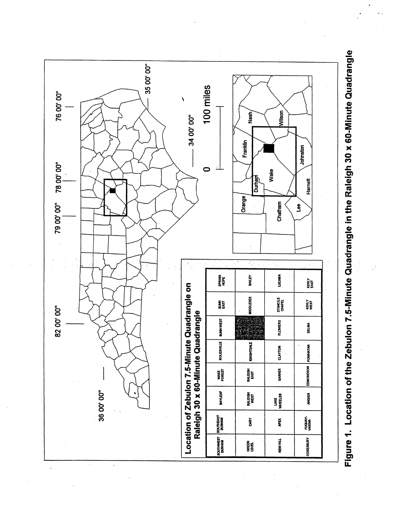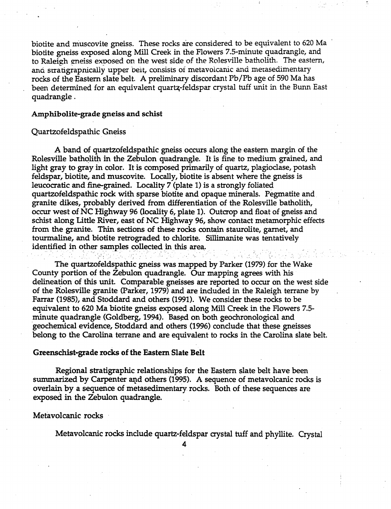biotite and muscovite gneiss. These rocks are considered to be equivalent to 620 Ma biotite gneiss exposed along Mill Creek in the Flowers 7.5-minute quadrangle, and to Raleigh gneiss exposed on the west side of the Rolesville batholith. The eastern, ana stratigrapnically upper belt, consists of metavolcanic and metasedimentary rocks of the Eastern slate belt. A preliminary discordant Pb/Pb age of 590 Ma has been determined for an equivalent quartz-feldspar crystal tuff unit in the Bunn East quadrangle .

#### Amphibolite-grade gneiss and schist

#### Quartzofeldspathic Gneiss

A band of quartzofeldspathic gneiss occurs along the eastern margin of the Rolesville batholith in the Zebulon quadrangle. It is fine to medium grained, and light gray to gray in color. It is composed primarily of quartz, plagioclase, potash feldspar, biotite, and muscovite. Locally, biotite is absent where the gneiss is leucocratic and fine-grained. Locality 7 (plate 1) is a strongly foliated quartzofeldspathic rock with sparse biotite and opaque minerals. Pegmatite and. granite dikes, probably derived from differentiation of the Rolesville batholith, occur west of NC Highway 96 (locality 6, plate 1). Outcrop and float of gneiss and schist along Little River, east of NC Highway 96, show contact metamorphic effects from the granite. Thin sections of these rocks contain staurolite, garnet, and tourmaline, and biotite retrograded to chlorite. Sillimanite was tentatively identified in other samples collected in this area.<br> $\blacksquare$ 

The quartzofeldspathic gneiss was mapped by Parker (1979) for the Wake County portion of the Zebulon quadrangle. Our mapping agrees with 'his delineation of this unit. Comparable gneisses are reported to occur on the west side of the Rolesville granite (Parker, 1979) and are included in the Raleigh terrane by Farrar (1985), and Stoddard and others (1991). We consider these rocks to be equivalent to 620 Ma biotite gneiss exposed along Mill Creek in the Flowers 7.5 minute quadrangle (Goldberg, 1994). Based on both geochronological and 'geochemical evidence, Stoddard and others (1996) conclude that these gneisses belong to the Carolina terrane and are equivalent to rocks in the Carolina slate belt.

#### Greenschist-grade rocks of the Eastern Slate Belt

Regional stratigraphic relationships for the Eastern slate belt have been summarized by Carpenter and others (1995). A sequence of metavolcanic rocks is overlain by a sequence of metasedimentary rocks. Both of these sequences are exposed in the Zebulon quadrangle.

#### Metavolcanic rocks .

Metavolcanic rocks include quartz-feldspar crystal tuff and phyllite. Crystal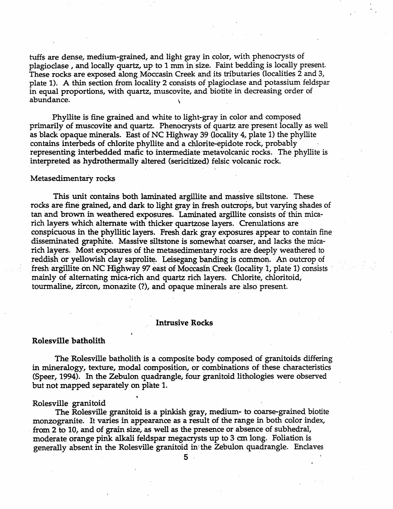tuffs are dense, medium-grained, and light gray in color, with phenocrysts of plagioclase, and locally quartz, up to 1 nun in size. Faint bedding is locally present. These rocks are exposed along Moccasin Creek and its tributaries (localities 2 and 3, plate 1). A thin section from locality 2 consists of plagioclase and potassium feldspar in equal proportions, with quartz, muscovite, and biotite in decreasing order of abundance. \

Phyllite is fine grained and white to light-gray in color and composed primarily of muscovite and quartz. Phenocrysts of quartz are present locally as well as black opaque minerals. East of NC Highway 39 (locality 4, plate 1) the phyllite contains interbeds of chlorite phyllite and a chlorite-epidote rock, probably representing interbedded mafic to intermediate metavolcanic rocks. The phyllite is interpreted as hydrothermally altered (sericitized) felsic volcanic rock.

#### Metasedimentary rocks

This unit contains both laminated argillite and massive siltstone. These rocks are fine grained, and dark to light gray in fresh outcrops, but varying shades of tan and brown in weathered exposures. Laminated argillite consists of thin micarich layers which alternate with thicker quartzose layers. Crenulations are conspicuous in the phyllitic layers. Fresh dark gray exposures appear to contain fine disseminated graphite. Massive siltstone is somewhat coarser, and lacks the micarich layers. Most exposures of the metasedimentary rocks are deeply weathered to reddish or yellowish clay saprolite. Leisegang banding is common. An outcrop of fresh argillite on NC Highway 97 east of Moccasin Creek (locality 1, plate 1) consists mainly of alternating mica-rich and quartz rich layers. Chlorite, chloritoid, tourmaline, zircon, monazite (?), and opaque minerals are also present.

#### Intrusive Rocks

#### Rolesville batholith

The Rolesville batholith is a composite body composed of granitoids differing in mineralogy, texture, modal composition, or combinations of these characteristics (Speer, 1994). In the Zebulon quadrangle, four granitoid lithologies were observed but not mapped separately on plate 1.

#### Rolesville granitoid-

The Rolesville granitoid is a pinkish gray, medium- to coarse-grained biotite monzogranite. It varies in appearance as a result of the range in both color index, from 2 to 10, and of grain size, as well as the presence or absence of subhedral, moderate orange pink alkali feldspar megacrysts up to 3 em long. Foliation is generally absent in the Rolesville granitoid in the Zebulon quadrangle. Enclaves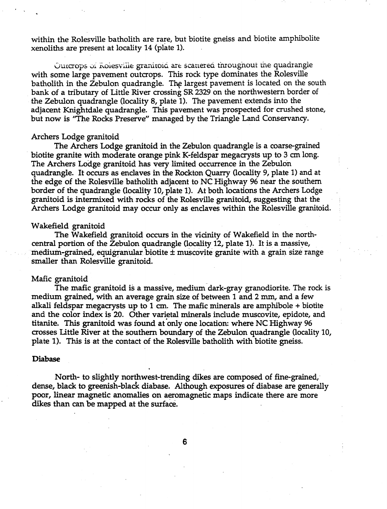within the Rolesville batholith are rare, but biotite gneiss and biotite amphibolite xenoliths are present at locality 14 (plate 1).

Outcrops of Rolesville granitoid are scattered throughout the quadrangle with some large pavement outcrops. This rock type dominates the Rolesville batholith in the Zebulon quadrangle. The largest pavement is located on the south bank of a tributary of Little River crossing SR 2329 on the northwestern border of the Zebulon quadrangle (locality 8, plate 1). The pavement extends into the adjacent Knightdale quadrangle. This pavement was prospected for crushed stone, but now is "The Rocks Preserve" managed by the Triangle Land Conservancy.

#### ArChers Lodge granitoid

The Archers Lodge granitoid in the Zebulon quadrangle is a coarse-grained - biotite granite with moderate orange pink K-feldspar megacrysts up to 3 em long. The Archers Lodge granitoid has very limited occurrence in the Zebulon quadrangle. It occurs as enclaves in the Rockton Quarry (locality 9, plate 1) and at the edge of the Rolesville batholith adjacent to NC Highway 96 near the southern border of the quadrangle (locality 10, plate 1). At both locations the Archers Lodge granitoid is intermixed with rocks of the Rolesville granitoid, suggesting that the Archers Lodge granitoid may occur only as enclaves within the Rolesville granitoid.

#### Wakefield granitoid

The Wakefield granitoid occurs in the vicinity of Wakefield in the northcentral portion of the Zebulon quadrangle (locality 12, plate 1). It is a massive,  $m$ edium-grained, equigranular biotite  $\pm$  muscovite granite with a grain size range smaller than Rolesville granitoid.

#### Mafic granitoid

The mafic granitoid is a massive, medium dark-gray granodiorite. The rock is medium grained, with an average gram size of between 1 and 2 mm, and a few alkali feldspar megacrysts up to 1 em. The mafic minerals are amphibole + biotite and the color index is 20. Other varietal minerals include muscovite, epidote, and titanite. This granitoid was found at only one location: where NC Highway 96 crosses Little River at the 'southern boundary of the Zebulon quadrangle (locality 10, plate 1). This is at the contact of the Rolesville batholith with biotite gneiss.

#### Diabase

North- to slightly northwest-trending dikes are composed of fine-grained,' dense, black to greenish-black diabase. Although exposures of diabase are generally poor, linear magnetic anomalies on aeromagnetic maps indicate there are more dikes than can be mapped at the surface.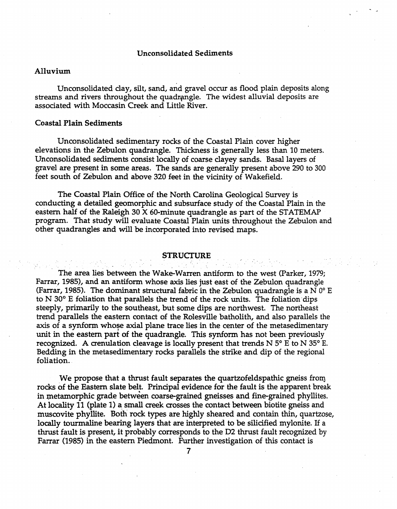#### Unconsolidated Sediments

#### Alluvium

Unconsolidated clay, silt, sand, and gravel occur as flood plain deposits along streams and rivers throughout the quadrangle. The widest alluvial deposits are associated with Moccasin Creek and Little River.

#### Coastal Plain Sediments

Unconsolidated sedimentary rocks of the Coastal Plain cover higher elevations in the Zebulon quadrangle. Thickness is generally less than 10 meters. Unconsolidated sediments consist locally of coarse clayey sands. Basal layers of gravel are present in some areas. The sands are generally present above 290 to 300 feet south of Zebulon and above 320 feet in the vicinity of Wakefield.

The Coastal Plain Office of the North Carolina Geological Survey is conducting a detailed geomorphic and subsurface study of the Coastal Plain in the eastern half of the Raleigh 30 X 60-minute quadrangle as part of the STATEMAP program. That study will evaluate Coastal Plain units throughout the Zebulon and

#### **STRUCTURE**

other quadrangles and will be incorporated into revised maps.<br>
STRUCTURE<br>
The area lies between the Wake-Warren antiform to the<br>
Form 1995), and an antiform whose over lies just and of the 7 The area lies between the Wake-Warren antiform to the west (Parker, 1979; Farrar, 1985), and an antiform whose axis lies just east of the Zebulon quadrangle (Farrar, 1985). The dominant structural fabric in the Zebulon quadrangle is a N  $0^{\circ}$  E to  $N$  30 $\degree$  E foliation that parallels the trend of the rock units. The foliation dips steeply, primarily to the southeast, but some dips are northwest. The northeast trend parallels the eastern contact of the Rolesville batholith, and also parallels the axis of a synform whose axial plane trace lies in the center of the metasedimentary unit in the eastern part of the quadrangle. This synform has not been previously recognized. A crenulation cleavage is locally present that trends  $N 5^{\circ}$  E to N 35° E. Bedding in the metasedimentary rocks parallels the strike and dip of the regional foliation..

We propose that a thrust fault separates the quartzofeldspathic gneiss from rocks of the Eastern slate belt. Principal evidence for the fault is the apparent break in metamorphic grade between coarse-grained gneisses and fine-grained phyllites. At locality 11 (plate 1) a small creek crosses the contact between biotite gneiss and muscovite phyllite. Both rock types are highly sheared and contain thin, quartzose, locally tourmaline bearing layers that are interpreted to be silicified mylonite. If a thrust fault is present, it probably corresponds to the D2 thrust fault recognized by Farrar (1985) in the eastern Piedmont. Further investigation of this contact is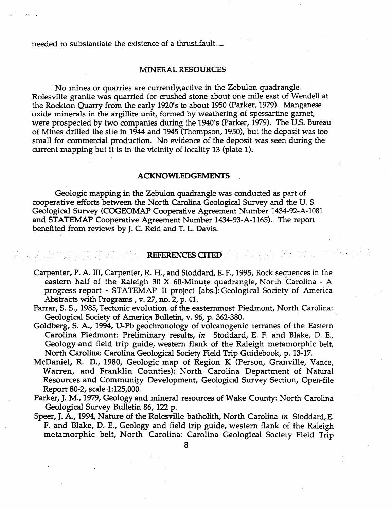needed to substantiate the existence of a thrust fault.

#### MINERAL RESOURCES

. No mines or quarries are currently\active in the Zebulon quadrangle. Rolesville granite was quarried for crushed stone about one mile east of Wendell at the Rockton Quarry from the early 1920's to about 1950 (Parker, 1979). Manganese oxide minerals in the argillite unit, formed by weathering of spessartine garnet, were prospected by two companies during the 1940's (Parker, 1979). The U.S. Bureau of Mines drilled the site in 1944 and 1945 (Thompson, 1950), but the deposit was too small for commercial production. No evidence of the deposit was seen during the current mapping but it is in the vicinity of locality 13 (plate 1).

#### ACKNOWLEDGEMENTS

Geologic mapping in the Zebulon quadrangle was conducted as part of cooperative efforts between the North Carolina Geological Survey and the U. s. Geological Survey (COGEOMAP Cooperative Agreement Number 1434-92-A-I081 and STATEMAP Cooperative Agreement Number 1434-93-A-1165). The report benefited from reviews by J. C. Reid and T. L. Davis.

### REFERENCES CITED

- Carpenter, P. A. III, Carpenter, R. H., and Stoddard, E. F., 1995, Rock sequences in the eastern half of the Raleigh 30  $X$  60-Minute quadrangle, North Carolina - A progress report - STATEMAP. II project [abs.]: Geological Society of America Abstracts with Programs, v. 27, no. 2, p. 41.
- Farrar, 5.5., 1985, Tectonic evolution of the easternmost Piedmont, North Carolina: Geological Society of America Bulletin, v. 96, p. 362-380.
- Goldberg, S. A., 1994, U-Pb geochronology of volcanogenic terranes of the Eastern Carolina Piedmont: Preliminary results, *in* Stoddard, E. F. and Blake, D. E., Geology and field trip guide, western flank of the Raleigh metamorphic belt, North Carolina: Carolina Geological Society Field Trip Guidebook, p. 13-17.
- McDaniel, R. D., 1980, Geologic map of Region K (Person, Granville, Vance, Warren, and Franklin Counties): North Carolina Department of Natural Resources and Community Development, Geological Survey Section, Open-file Report 80-2, scale 1:125,000.
- Parker, J. M., 1979, Geology and mineral resources of Wake County: North Carolina Geological Survey Bulletin 86, 122 p.
- Speer, J. A., 1994, Nature of the Rolesville batholith, North Carolina *in* Stoddard, E. F. and Blake, D. E., Geology and field trip guide, western flank of the Raleigh metamorphic belt, North Carolina: Carolina Geological Society Field Trip